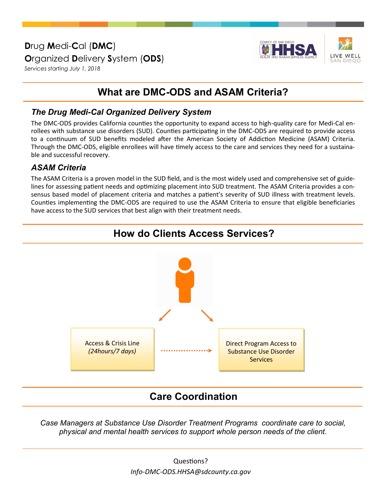**D**rug **M**edi-**C**al (**DMC**) **O**rganized **D**elivery **S**ystem (**ODS**) *Services starting July 1, 2018*



## **What are DMC-ODS and ASAM Criteria?**

### *The Drug Medi-Cal Organized Delivery System*

The DMC-ODS provides California counties the opportunity to expand access to high-quality care for Medi-Cal enrollees with substance use disorders (SUD). Counties participating in the DMC-ODS are required to provide access to a continuum of SUD benefits modeled after the American Society of Addiction Medicine (ASAM) Criteria. Through the DMC-ODS, eligible enrollees will have timely access to the care and services they need for a sustainable and successful recovery.

#### *ASAM Criteria*

The ASAM Criteria is a proven model in the SUD field, and is the most widely used and comprehensive set of guidelines for assessing patient needs and optimizing placement into SUD treatment. The ASAM Criteria provides a consensus based model of placement criteria and matches a patient's severity of SUD illness with treatment levels. Counties implementing the DMC-ODS are required to use the ASAM Criteria to ensure that eligible beneficiaries have access to the SUD services that best align with their treatment needs.





### **Care Coordination**

*Case Managers at Substance Use Disorder Treatment Programs coordinate care to social, physical and mental health services to support whole person needs of the client.*